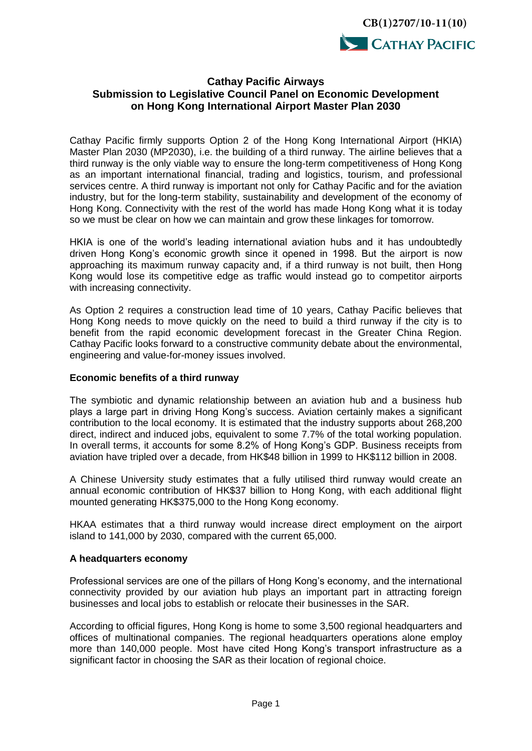

# **Cathay Pacific Airways Submission to Legislative Council Panel on Economic Development on Hong Kong International Airport Master Plan 2030**

Cathay Pacific firmly supports Option 2 of the Hong Kong International Airport (HKIA) Master Plan 2030 (MP2030), i.e. the building of a third runway. The airline believes that a third runway is the only viable way to ensure the long-term competitiveness of Hong Kong as an important international financial, trading and logistics, tourism, and professional services centre. A third runway is important not only for Cathay Pacific and for the aviation industry, but for the long-term stability, sustainability and development of the economy of Hong Kong. Connectivity with the rest of the world has made Hong Kong what it is today so we must be clear on how we can maintain and grow these linkages for tomorrow.

HKIA is one of the world's leading international aviation hubs and it has undoubtedly driven Hong Kong's economic growth since it opened in 1998. But the airport is now approaching its maximum runway capacity and, if a third runway is not built, then Hong Kong would lose its competitive edge as traffic would instead go to competitor airports with increasing connectivity.

As Option 2 requires a construction lead time of 10 years, Cathay Pacific believes that Hong Kong needs to move quickly on the need to build a third runway if the city is to benefit from the rapid economic development forecast in the Greater China Region. Cathay Pacific looks forward to a constructive community debate about the environmental, engineering and value-for-money issues involved.

### **Economic benefits of a third runway**

The symbiotic and dynamic relationship between an aviation hub and a business hub plays a large part in driving Hong Kong's success. Aviation certainly makes a significant contribution to the local economy. It is estimated that the industry supports about 268,200 direct, indirect and induced jobs, equivalent to some 7.7% of the total working population. In overall terms, it accounts for some 8.2% of Hong Kong's GDP. Business receipts from aviation have tripled over a decade, from HK\$48 billion in 1999 to HK\$112 billion in 2008.

A Chinese University study estimates that a fully utilised third runway would create an annual economic contribution of HK\$37 billion to Hong Kong, with each additional flight mounted generating HK\$375,000 to the Hong Kong economy.

HKAA estimates that a third runway would increase direct employment on the airport island to 141,000 by 2030, compared with the current 65,000.

# **A headquarters economy**

Professional services are one of the pillars of Hong Kong's economy, and the international connectivity provided by our aviation hub plays an important part in attracting foreign businesses and local jobs to establish or relocate their businesses in the SAR.

According to official figures, Hong Kong is home to some 3,500 regional headquarters and offices of multinational companies. The regional headquarters operations alone employ more than 140,000 people. Most have cited Hong Kong's transport infrastructure as a significant factor in choosing the SAR as their location of regional choice.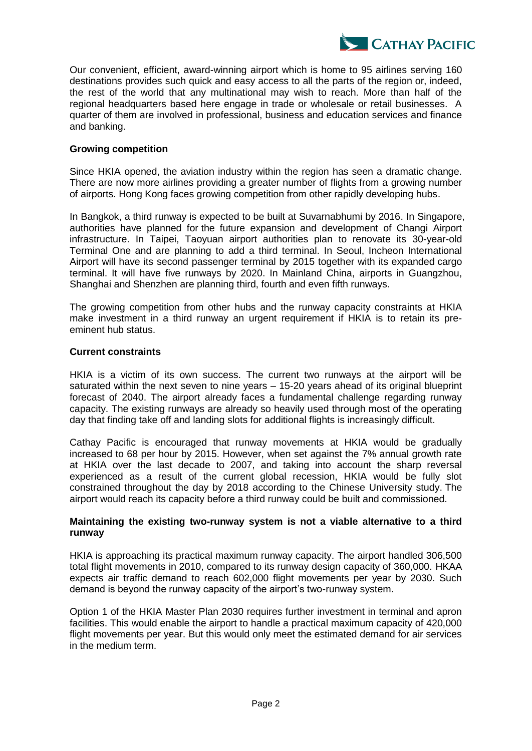

Our convenient, efficient, award-winning airport which is home to 95 airlines serving 160 destinations provides such quick and easy access to all the parts of the region or, indeed, the rest of the world that any multinational may wish to reach. More than half of the regional headquarters based here engage in trade or wholesale or retail businesses. A quarter of them are involved in professional, business and education services and finance and banking.

## **Growing competition**

Since HKIA opened, the aviation industry within the region has seen a dramatic change. There are now more airlines providing a greater number of flights from a growing number of airports. Hong Kong faces growing competition from other rapidly developing hubs.

In Bangkok, a third runway is expected to be built at Suvarnabhumi by 2016. In Singapore, authorities have planned for the future expansion and development of Changi Airport infrastructure. In Taipei, Taoyuan airport authorities plan to renovate its 30-year-old Terminal One and are planning to add a third terminal. In Seoul, Incheon International Airport will have its second passenger terminal by 2015 together with its expanded cargo terminal. It will have five runways by 2020. In Mainland China, airports in Guangzhou, Shanghai and Shenzhen are planning third, fourth and even fifth runways.

The growing competition from other hubs and the runway capacity constraints at HKIA make investment in a third runway an urgent requirement if HKIA is to retain its preeminent hub status.

### **Current constraints**

HKIA is a victim of its own success. The current two runways at the airport will be saturated within the next seven to nine years – 15-20 years ahead of its original blueprint forecast of 2040. The airport already faces a fundamental challenge regarding runway capacity. The existing runways are already so heavily used through most of the operating day that finding take off and landing slots for additional flights is increasingly difficult.

Cathay Pacific is encouraged that runway movements at HKIA would be gradually increased to 68 per hour by 2015. However, when set against the 7% annual growth rate at HKIA over the last decade to 2007, and taking into account the sharp reversal experienced as a result of the current global recession, HKIA would be fully slot constrained throughout the day by 2018 according to the Chinese University study. The airport would reach its capacity before a third runway could be built and commissioned.

## **Maintaining the existing two-runway system is not a viable alternative to a third runway**

HKIA is approaching its practical maximum runway capacity. The airport handled 306,500 total flight movements in 2010, compared to its runway design capacity of 360,000. HKAA expects air traffic demand to reach 602,000 flight movements per year by 2030. Such demand is beyond the runway capacity of the airport's two-runway system.

Option 1 of the HKIA Master Plan 2030 requires further investment in terminal and apron facilities. This would enable the airport to handle a practical maximum capacity of 420,000 flight movements per year. But this would only meet the estimated demand for air services in the medium term.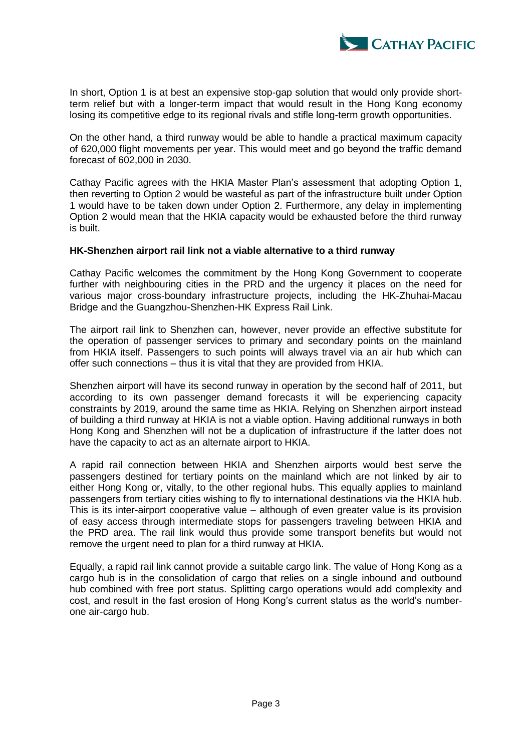

In short, Option 1 is at best an expensive stop-gap solution that would only provide shortterm relief but with a longer-term impact that would result in the Hong Kong economy losing its competitive edge to its regional rivals and stifle long-term growth opportunities.

On the other hand, a third runway would be able to handle a practical maximum capacity of 620,000 flight movements per year. This would meet and go beyond the traffic demand forecast of 602,000 in 2030.

Cathay Pacific agrees with the HKIA Master Plan's assessment that adopting Option 1, then reverting to Option 2 would be wasteful as part of the infrastructure built under Option 1 would have to be taken down under Option 2. Furthermore, any delay in implementing Option 2 would mean that the HKIA capacity would be exhausted before the third runway is built.

### **HK-Shenzhen airport rail link not a viable alternative to a third runway**

Cathay Pacific welcomes the commitment by the Hong Kong Government to cooperate further with neighbouring cities in the PRD and the urgency it places on the need for various major cross-boundary infrastructure projects, including the HK-Zhuhai-Macau Bridge and the Guangzhou-Shenzhen-HK Express Rail Link.

The airport rail link to Shenzhen can, however, never provide an effective substitute for the operation of passenger services to primary and secondary points on the mainland from HKIA itself. Passengers to such points will always travel via an air hub which can offer such connections – thus it is vital that they are provided from HKIA.

Shenzhen airport will have its second runway in operation by the second half of 2011, but according to its own passenger demand forecasts it will be experiencing capacity constraints by 2019, around the same time as HKIA. Relying on Shenzhen airport instead of building a third runway at HKIA is not a viable option. Having additional runways in both Hong Kong and Shenzhen will not be a duplication of infrastructure if the latter does not have the capacity to act as an alternate airport to HKIA.

A rapid rail connection between HKIA and Shenzhen airports would best serve the passengers destined for tertiary points on the mainland which are not linked by air to either Hong Kong or, vitally, to the other regional hubs. This equally applies to mainland passengers from tertiary cities wishing to fly to international destinations via the HKIA hub. This is its inter-airport cooperative value – although of even greater value is its provision of easy access through intermediate stops for passengers traveling between HKIA and the PRD area. The rail link would thus provide some transport benefits but would not remove the urgent need to plan for a third runway at HKIA.

Equally, a rapid rail link cannot provide a suitable cargo link. The value of Hong Kong as a cargo hub is in the consolidation of cargo that relies on a single inbound and outbound hub combined with free port status. Splitting cargo operations would add complexity and cost, and result in the fast erosion of Hong Kong's current status as the world's numberone air-cargo hub.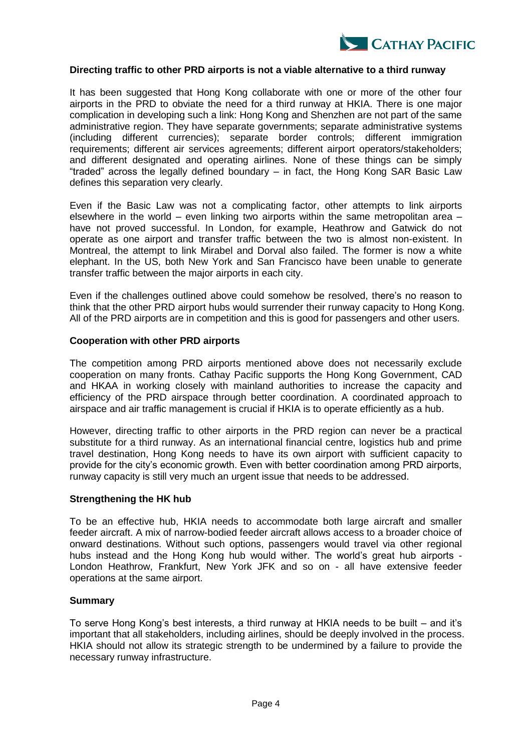

#### **Directing traffic to other PRD airports is not a viable alternative to a third runway**

It has been suggested that Hong Kong collaborate with one or more of the other four airports in the PRD to obviate the need for a third runway at HKIA. There is one major complication in developing such a link: Hong Kong and Shenzhen are not part of the same administrative region. They have separate governments; separate administrative systems (including different currencies); separate border controls; different immigration requirements; different air services agreements; different airport operators/stakeholders; and different designated and operating airlines. None of these things can be simply "traded" across the legally defined boundary – in fact, the Hong Kong SAR Basic Law defines this separation very clearly.

Even if the Basic Law was not a complicating factor, other attempts to link airports elsewhere in the world – even linking two airports within the same metropolitan area – have not proved successful. In London, for example, Heathrow and Gatwick do not operate as one airport and transfer traffic between the two is almost non-existent. In Montreal, the attempt to link Mirabel and Dorval also failed. The former is now a white elephant. In the US, both New York and San Francisco have been unable to generate transfer traffic between the major airports in each city.

Even if the challenges outlined above could somehow be resolved, there's no reason to think that the other PRD airport hubs would surrender their runway capacity to Hong Kong. All of the PRD airports are in competition and this is good for passengers and other users.

#### **Cooperation with other PRD airports**

The competition among PRD airports mentioned above does not necessarily exclude cooperation on many fronts. Cathay Pacific supports the Hong Kong Government, CAD and HKAA in working closely with mainland authorities to increase the capacity and efficiency of the PRD airspace through better coordination. A coordinated approach to airspace and air traffic management is crucial if HKIA is to operate efficiently as a hub.

However, directing traffic to other airports in the PRD region can never be a practical substitute for a third runway. As an international financial centre, logistics hub and prime travel destination, Hong Kong needs to have its own airport with sufficient capacity to provide for the city's economic growth. Even with better coordination among PRD airports, runway capacity is still very much an urgent issue that needs to be addressed.

### **Strengthening the HK hub**

To be an effective hub, HKIA needs to accommodate both large aircraft and smaller feeder aircraft. A mix of narrow-bodied feeder aircraft allows access to a broader choice of onward destinations. Without such options, passengers would travel via other regional hubs instead and the Hong Kong hub would wither. The world's great hub airports - London Heathrow, Frankfurt, New York JFK and so on - all have extensive feeder operations at the same airport.

### **Summary**

To serve Hong Kong's best interests, a third runway at HKIA needs to be built – and it's important that all stakeholders, including airlines, should be deeply involved in the process. HKIA should not allow its strategic strength to be undermined by a failure to provide the necessary runway infrastructure.